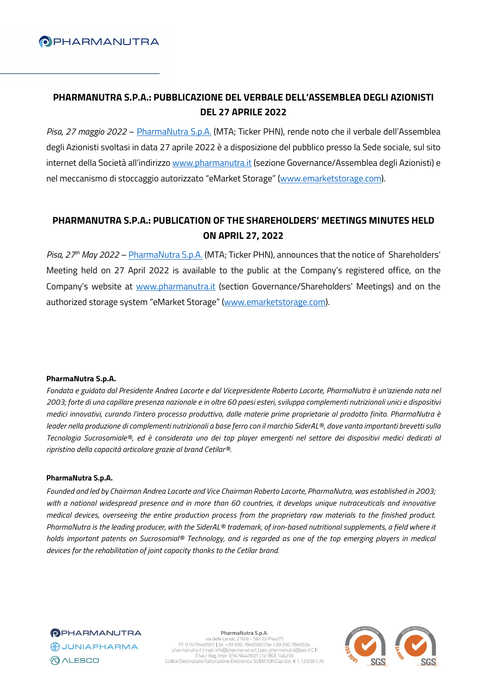

# **PHARMANUTRA S.P.A.: PUBBLICAZIONE DEL VERBALE DELL'ASSEMBLEA DEGLI AZIONISTI DEL 27 APRILE 2022**

*Pisa, 27 maggio 2022* – [PharmaNutra](https://www.pharmanutra.it/it/) S.p.A. (MTA; Ticker PHN), rende noto che il verbale dell'Assemblea degli Azionisti svoltasi in data 27 aprile 2022 è a disposizione del pubblico presso la Sede sociale, sul sito internet della Società all'indirizzo [www.pharmanutra.it](http://www.pharmanutra.it/) (sezione Governance/Assemblea degli Azionisti) e nel meccanismo di stoccaggio autorizzato "eMarket Storage" ([www.emarketstorage.com\)](http://www.emarketstorage.com/).

## **PHARMANUTRA S.P.A.: PUBLICATION OF THE SHAREHOLDERS' MEETINGS MINUTES HELD ON APRIL 27, 2022**

*Pisa, 27 th May 2022* – [PharmaNutra S.p.A.](https://www.pharmanutra.it/it/) (MTA; Ticker PHN), announces that the notice of Shareholders' Meeting held on 27 April 2022 is available to the public at the Company's registered office, on the Company's website at [www.pharmanutra.it](http://www.pharmanutra.it/) (section Governance/Shareholders' Meetings) and on the authorized storage system "eMarket Storage" [\(www.emarketstorage.com\)](http://www.emarketstorage.com/).

## **PharmaNutra S.p.A.**

Fondata e guidata dal Presidente Andrea Lacorte e dal Vicepresidente Roberto Lacorte, PharmaNutra è un'azienda nata nel 2003; forte di una capillare presenza nazionale e in oltre 60 paesi esteri, sviluppa complementi nutrizionali unici e dispositivi medici innovativi, curando l'intero processo produttivo, dalle materie prime proprietarie al prodotto finito. PharmaNutra è leader nella produzione di complementi nutrizionali a base ferro con il marchio SiderAL®, dove vanta importanti brevetti sulla Tecnologia Sucrosomiale®, ed è considerata uno dei top player emergenti nel settore dei dispositivi medici dedicati al *ripristino della capacità articolare grazie al brand Cetilar®.*

### **PharmaNutra S.p.A.**

Founded and led by Chairman Andrea Lacorte and Vice Chairman Roberto Lacorte, PharmaNutra, was established in 2003; with a national widespread presence and in more than 60 countries, it develops unique nutraceuticals and innovative medical devices, overseeing the entire production process from the proprietary raw materials to the finished product. PharmaNutra is the leading producer, with the SiderAL® trademark, of iron-based nutritional supplements, a field where it holds important patents on Sucrosomial® Technology, and is regarded as one of the top emerging players in medical *devices for the rehabilitation of joint capacity thanks to the Cetilar brand.*

**OPHARMANUTRA** BUUNIAPHARMA **QALESCO** 

PharmaNutra S.p.A.

Via delle Lenze, 216/b - 56122 Pisa (IT)<br>PI. 01679440501 | tel. +39 050 7846500 | fax +39 050 7846524<br>pharmanutarial (mall: info@pharmanutarial (per: pharmanutarial)<br>PINA / Reg. Impr. 01679440501 | I.V. REA 146259<br>Codice D